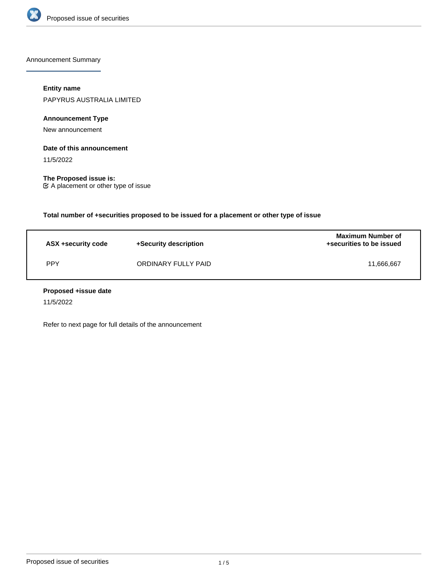

Announcement Summary

# **Entity name**

PAPYRUS AUSTRALIA LIMITED

**Announcement Type**

New announcement

## **Date of this announcement**

11/5/2022

**The Proposed issue is:** A placement or other type of issue

**Total number of +securities proposed to be issued for a placement or other type of issue**

| ASX +security code | +Security description | <b>Maximum Number of</b><br>+securities to be issued |
|--------------------|-----------------------|------------------------------------------------------|
| <b>PPY</b>         | ORDINARY FULLY PAID   | 11.666.667                                           |

### **Proposed +issue date**

11/5/2022

Refer to next page for full details of the announcement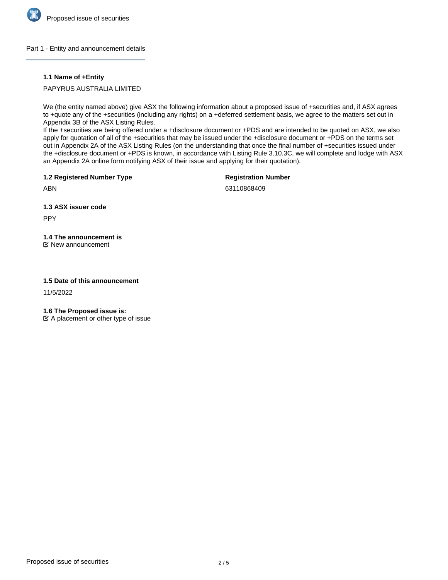

### Part 1 - Entity and announcement details

### **1.1 Name of +Entity**

PAPYRUS AUSTRALIA LIMITED

We (the entity named above) give ASX the following information about a proposed issue of +securities and, if ASX agrees to +quote any of the +securities (including any rights) on a +deferred settlement basis, we agree to the matters set out in Appendix 3B of the ASX Listing Rules.

If the +securities are being offered under a +disclosure document or +PDS and are intended to be quoted on ASX, we also apply for quotation of all of the +securities that may be issued under the +disclosure document or +PDS on the terms set out in Appendix 2A of the ASX Listing Rules (on the understanding that once the final number of +securities issued under the +disclosure document or +PDS is known, in accordance with Listing Rule 3.10.3C, we will complete and lodge with ASX an Appendix 2A online form notifying ASX of their issue and applying for their quotation).

**1.2 Registered Number Type**

**Registration Number**

ABN

63110868409

**1.3 ASX issuer code**

PPY

# **1.4 The announcement is**

New announcement

### **1.5 Date of this announcement**

11/5/2022

**1.6 The Proposed issue is:**

 $\mathfrak{C}$  A placement or other type of issue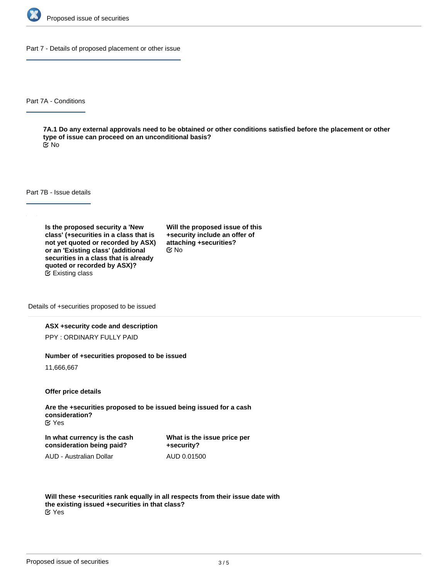

Part 7 - Details of proposed placement or other issue

Part 7A - Conditions

**7A.1 Do any external approvals need to be obtained or other conditions satisfied before the placement or other type of issue can proceed on an unconditional basis?** No

Part 7B - Issue details

**Is the proposed security a 'New class' (+securities in a class that is not yet quoted or recorded by ASX) or an 'Existing class' (additional securities in a class that is already quoted or recorded by ASX)?** Existing class

**Will the proposed issue of this +security include an offer of attaching +securities?** No

Details of +securities proposed to be issued

#### **ASX +security code and description**

PPY : ORDINARY FULLY PAID

#### **Number of +securities proposed to be issued**

11,666,667

**Offer price details**

**Are the +securities proposed to be issued being issued for a cash consideration?** Yes

**In what currency is the cash consideration being paid?**

**What is the issue price per +security?** AUD 0.01500

AUD - Australian Dollar

**Will these +securities rank equally in all respects from their issue date with the existing issued +securities in that class?** Yes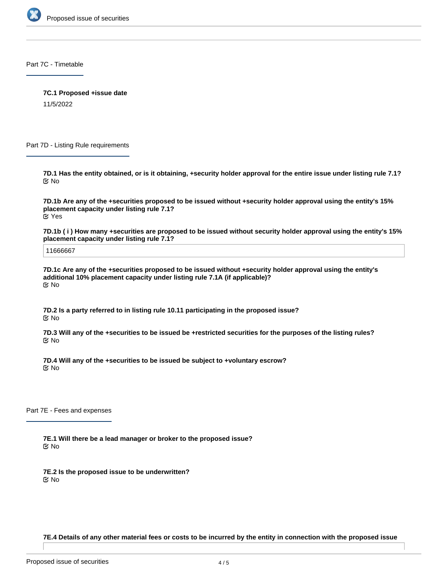

Part 7C - Timetable

**7C.1 Proposed +issue date**

11/5/2022

Part 7D - Listing Rule requirements

**7D.1 Has the entity obtained, or is it obtaining, +security holder approval for the entire issue under listing rule 7.1?** No

**7D.1b Are any of the +securities proposed to be issued without +security holder approval using the entity's 15% placement capacity under listing rule 7.1?** Yes

**7D.1b ( i ) How many +securities are proposed to be issued without security holder approval using the entity's 15% placement capacity under listing rule 7.1?**

11666667

**7D.1c Are any of the +securities proposed to be issued without +security holder approval using the entity's additional 10% placement capacity under listing rule 7.1A (if applicable)?** No

**7D.2 Is a party referred to in listing rule 10.11 participating in the proposed issue?** No

**7D.3 Will any of the +securities to be issued be +restricted securities for the purposes of the listing rules?** No

**7D.4 Will any of the +securities to be issued be subject to +voluntary escrow?** No

Part 7E - Fees and expenses

**7E.1 Will there be a lead manager or broker to the proposed issue?** No

**7E.2 Is the proposed issue to be underwritten?** No

**7E.4 Details of any other material fees or costs to be incurred by the entity in connection with the proposed issue**